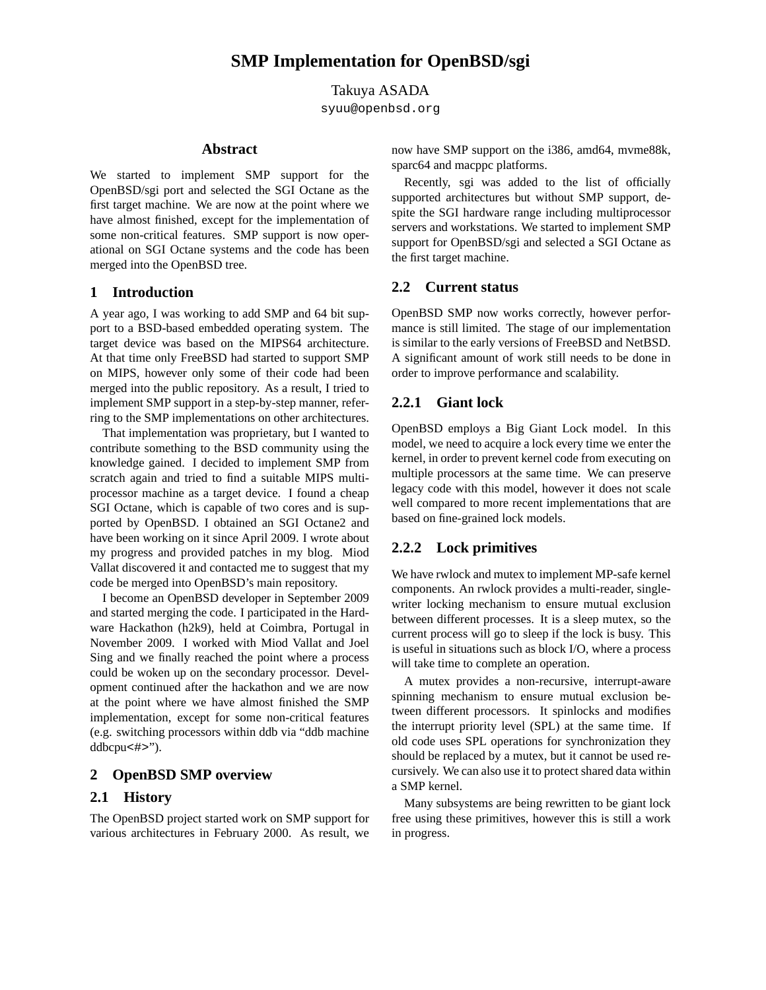Takuya ASADA

syuu@openbsd.org

#### **Abstract**

We started to implement SMP support for the OpenBSD/sgi port and selected the SGI Octane as the first target machine. We are now at the point where we have almost finished, except for the implementation of some non-critical features. SMP support is now operational on SGI Octane systems and the code has been merged into the OpenBSD tree.

### **1 Introduction**

A year ago, I was working to add SMP and 64 bit support to a BSD-based embedded operating system. The target device was based on the MIPS64 architecture. At that time only FreeBSD had started to support SMP on MIPS, however only some of their code had been merged into the public repository. As a result, I tried to implement SMP support in a step-by-step manner, referring to the SMP implementations on other architectures.

That implementation was proprietary, but I wanted to contribute something to the BSD community using the knowledge gained. I decided to implement SMP from scratch again and tried to find a suitable MIPS multiprocessor machine as a target device. I found a cheap SGI Octane, which is capable of two cores and is supported by OpenBSD. I obtained an SGI Octane2 and have been working on it since April 2009. I wrote about my progress and provided patches in my blog. Miod Vallat discovered it and contacted me to suggest that my code be merged into OpenBSD's main repository.

I become an OpenBSD developer in September 2009 and started merging the code. I participated in the Hardware Hackathon (h2k9), held at Coimbra, Portugal in November 2009. I worked with Miod Vallat and Joel Sing and we finally reached the point where a process could be woken up on the secondary processor. Development continued after the hackathon and we are now at the point where we have almost finished the SMP implementation, except for some non-critical features (e.g. switching processors within ddb via "ddb machine ddbcpu<#>").

# **2 OpenBSD SMP overview**

# **2.1 History**

The OpenBSD project started work on SMP support for various architectures in February 2000. As result, we now have SMP support on the i386, amd64, mvme88k, sparc64 and macppc platforms.

Recently, sgi was added to the list of officially supported architectures but without SMP support, despite the SGI hardware range including multiprocessor servers and workstations. We started to implement SMP support for OpenBSD/sgi and selected a SGI Octane as the first target machine.

### **2.2 Current status**

OpenBSD SMP now works correctly, however performance is still limited. The stage of our implementation is similar to the early versions of FreeBSD and NetBSD. A significant amount of work still needs to be done in order to improve performance and scalability.

# **2.2.1 Giant lock**

OpenBSD employs a Big Giant Lock model. In this model, we need to acquire a lock every time we enter the kernel, in order to prevent kernel code from executing on multiple processors at the same time. We can preserve legacy code with this model, however it does not scale well compared to more recent implementations that are based on fine-grained lock models.

# **2.2.2 Lock primitives**

We have rwlock and mutex to implement MP-safe kernel components. An rwlock provides a multi-reader, singlewriter locking mechanism to ensure mutual exclusion between different processes. It is a sleep mutex, so the current process will go to sleep if the lock is busy. This is useful in situations such as block I/O, where a process will take time to complete an operation.

A mutex provides a non-recursive, interrupt-aware spinning mechanism to ensure mutual exclusion between different processors. It spinlocks and modifies the interrupt priority level (SPL) at the same time. If old code uses SPL operations for synchronization they should be replaced by a mutex, but it cannot be used recursively. We can also use it to protect shared data within a SMP kernel.

Many subsystems are being rewritten to be giant lock free using these primitives, however this is still a work in progress.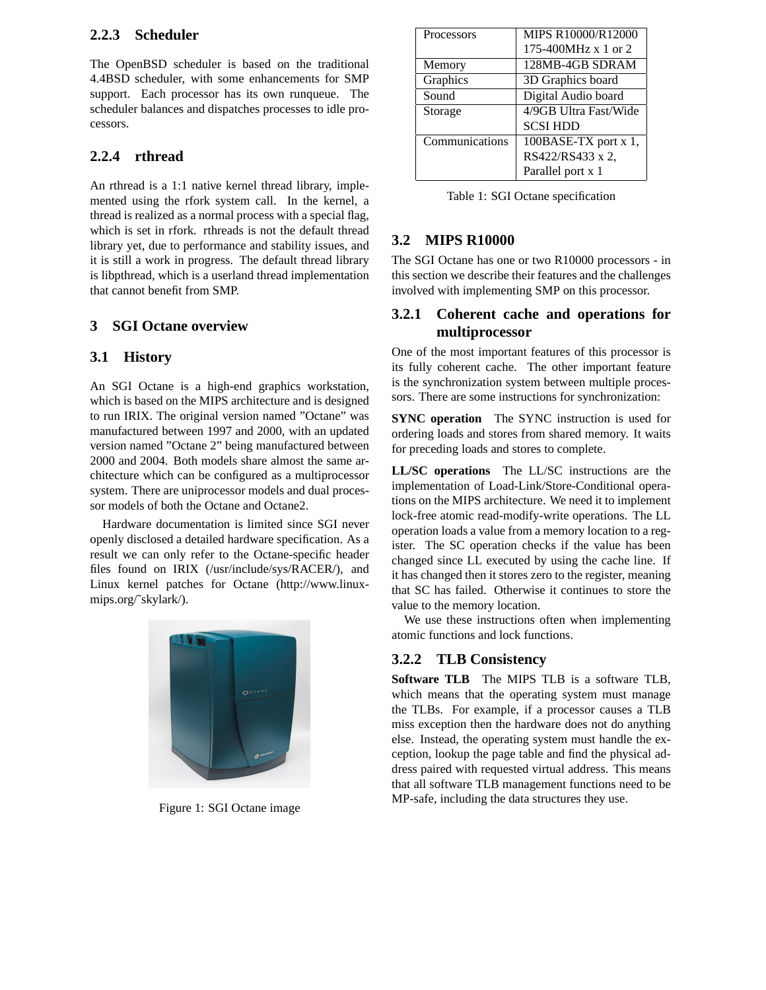### **2.2.3 Scheduler**

The OpenBSD scheduler is based on the traditional 4.4BSD scheduler, with some enhancements for SMP support. Each processor has its own runqueue. The scheduler balances and dispatches processes to idle processors.

# **2.2.4 rthread**

An rthread is a 1:1 native kernel thread library, implemented using the rfork system call. In the kernel, a thread is realized as a normal process with a special flag, which is set in rfork. rthreads is not the default thread library yet, due to performance and stability issues, and it is still a work in progress. The default thread library is libpthread, which is a userland thread implementation that cannot benefit from SMP.

# **3 SGI Octane overview**

# **3.1 History**

An SGI Octane is a high-end graphics workstation, which is based on the MIPS architecture and is designed to run IRIX. The original version named "Octane" was manufactured between 1997 and 2000, with an updated version named "Octane 2" being manufactured between 2000 and 2004. Both models share almost the same architecture which can be configured as a multiprocessor system. There are uniprocessor models and dual processor models of both the Octane and Octane2.

Hardware documentation is limited since SGI never openly disclosed a detailed hardware specification. As a result we can only refer to the Octane-specific header files found on IRIX (/usr/include/sys/RACER/), and Linux kernel patches for Octane (http://www.linuxmips.org/˜skylark/).



Figure 1: SGI Octane image

| Processors     | MIPS R10000/R12000    |
|----------------|-----------------------|
|                | 175-400MHz $x$ 1 or 2 |
| Memory         | 128MB-4GB SDRAM       |
| Graphics       | 3D Graphics board     |
| Sound          | Digital Audio board   |
| Storage        | 4/9GB Ultra Fast/Wide |
|                | <b>SCSI HDD</b>       |
| Communications | 100BASE-TX port x 1,  |
|                | RS422/RS433 x 2,      |
|                | Parallel port x 1     |

Table 1: SGI Octane specification

# **3.2 MIPS R10000**

The SGI Octane has one or two R10000 processors - in this section we describe their features and the challenges involved with implementing SMP on this processor.

# **3.2.1 Coherent cache and operations for multiprocessor**

One of the most important features of this processor is its fully coherent cache. The other important feature is the synchronization system between multiple processors. There are some instructions for synchronization:

**SYNC operation** The SYNC instruction is used for ordering loads and stores from shared memory. It waits for preceding loads and stores to complete.

**LL/SC operations** The LL/SC instructions are the implementation of Load-Link/Store-Conditional operations on the MIPS architecture. We need it to implement lock-free atomic read-modify-write operations. The LL operation loads a value from a memory location to a register. The SC operation checks if the value has been changed since LL executed by using the cache line. If it has changed then it stores zero to the register, meaning that SC has failed. Otherwise it continues to store the value to the memory location.

We use these instructions often when implementing atomic functions and lock functions.

# **3.2.2 TLB Consistency**

**Software TLB** The MIPS TLB is a software TLB, which means that the operating system must manage the TLBs. For example, if a processor causes a TLB miss exception then the hardware does not do anything else. Instead, the operating system must handle the exception, lookup the page table and find the physical address paired with requested virtual address. This means that all software TLB management functions need to be MP-safe, including the data structures they use.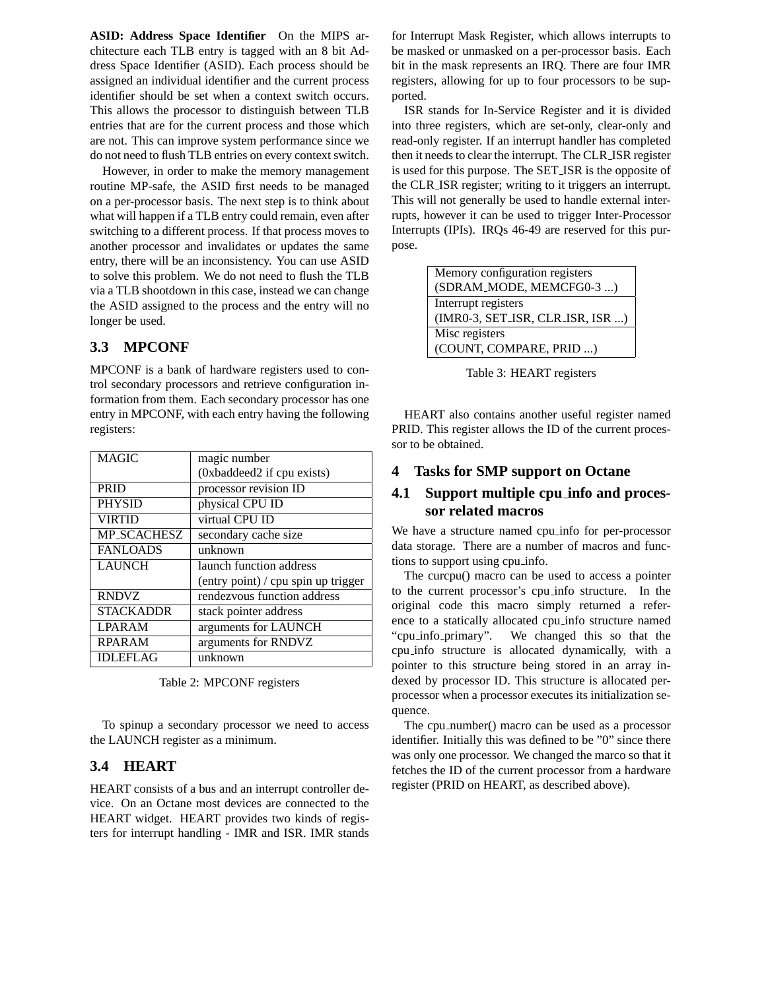**ASID: Address Space Identifier** On the MIPS architecture each TLB entry is tagged with an 8 bit Address Space Identifier (ASID). Each process should be assigned an individual identifier and the current process identifier should be set when a context switch occurs. This allows the processor to distinguish between TLB entries that are for the current process and those which are not. This can improve system performance since we do not need to flush TLB entries on every context switch.

However, in order to make the memory management routine MP-safe, the ASID first needs to be managed on a per-processor basis. The next step is to think about what will happen if a TLB entry could remain, even after switching to a different process. If that process moves to another processor and invalidates or updates the same entry, there will be an inconsistency. You can use ASID to solve this problem. We do not need to flush the TLB via a TLB shootdown in this case, instead we can change the ASID assigned to the process and the entry will no longer be used.

### **3.3 MPCONF**

MPCONF is a bank of hardware registers used to control secondary processors and retrieve configuration information from them. Each secondary processor has one entry in MPCONF, with each entry having the following registers:

| <b>MAGIC</b>       | magic number                        |
|--------------------|-------------------------------------|
|                    | (0xbaddeed2 if cpu exists)          |
| <b>PRID</b>        | processor revision ID               |
| <b>PHYSID</b>      | physical CPU ID                     |
| <b>VIRTID</b>      | virtual CPU ID                      |
| <b>MP_SCACHESZ</b> | secondary cache size                |
| <b>FANLOADS</b>    | unknown                             |
| <b>LAUNCH</b>      | launch function address             |
|                    | (entry point) / cpu spin up trigger |
| <b>RNDVZ</b>       | rendezvous function address         |
| <b>STACKADDR</b>   | stack pointer address               |
| <b>LPARAM</b>      | arguments for LAUNCH                |
| <b>RPARAM</b>      | arguments for RNDVZ                 |
| <b>IDLEFLAG</b>    | unknown                             |

Table 2: MPCONF registers

To spinup a secondary processor we need to access the LAUNCH register as a minimum.

### **3.4 HEART**

HEART consists of a bus and an interrupt controller device. On an Octane most devices are connected to the HEART widget. HEART provides two kinds of registers for interrupt handling - IMR and ISR. IMR stands

for Interrupt Mask Register, which allows interrupts to be masked or unmasked on a per-processor basis. Each bit in the mask represents an IRQ. There are four IMR registers, allowing for up to four processors to be supported.

ISR stands for In-Service Register and it is divided into three registers, which are set-only, clear-only and read-only register. If an interrupt handler has completed then it needs to clear the interrupt. The CLR ISR register is used for this purpose. The SET ISR is the opposite of the CLR ISR register; writing to it triggers an interrupt. This will not generally be used to handle external interrupts, however it can be used to trigger Inter-Processor Interrupts (IPIs). IRQs 46-49 are reserved for this purpose.

| Memory configuration registers   |  |
|----------------------------------|--|
| (SDRAM_MODE, MEMCFG0-3 )         |  |
| Interrupt registers              |  |
| (IMR0-3, SET_ISR, CLR_ISR, ISR ) |  |
| Misc registers                   |  |
| (COUNT, COMPARE, PRID )          |  |

Table 3: HEART registers

HEART also contains another useful register named PRID. This register allows the ID of the current processor to be obtained.

### **4 Tasks for SMP support on Octane**

# **4.1 Support multiple cpu info and processor related macros**

We have a structure named cpu info for per-processor data storage. There are a number of macros and functions to support using cpu info.

The curcpu() macro can be used to access a pointer to the current processor's cpu info structure. In the original code this macro simply returned a reference to a statically allocated cpu info structure named "cpu info primary". We changed this so that the cpu info structure is allocated dynamically, with a pointer to this structure being stored in an array indexed by processor ID. This structure is allocated perprocessor when a processor executes its initialization sequence.

The cpu number() macro can be used as a processor identifier. Initially this was defined to be "0" since there was only one processor. We changed the marco so that it fetches the ID of the current processor from a hardware register (PRID on HEART, as described above).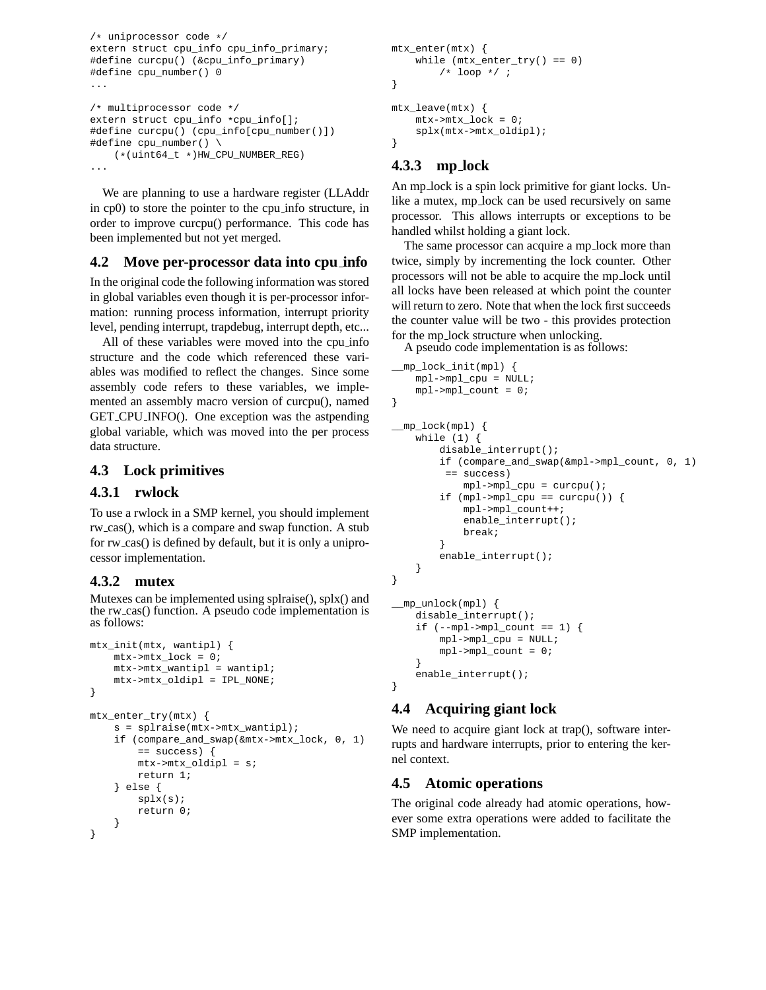```
/* uniprocessor code */
extern struct cpu_info cpu_info_primary;
#define curcpu() (&cpu_info_primary)
#define cpu_number() 0
...
/* multiprocessor code */
extern struct cpu_info *cpu_info[];
#define curcpu() (cpu_info[cpu_number()])
#define cpu_number() \
    (*(uint64_t *)HW_CPU_NUMBER_REG)
...
```
We are planning to use a hardware register (LLAddr in cp0) to store the pointer to the cpu info structure, in order to improve curcpu() performance. This code has been implemented but not yet merged.

# **4.2 Move per-processor data into cpu info**

In the original code the following information was stored in global variables even though it is per-processor information: running process information, interrupt priority level, pending interrupt, trapdebug, interrupt depth, etc...

All of these variables were moved into the cpu info structure and the code which referenced these variables was modified to reflect the changes. Since some assembly code refers to these variables, we implemented an assembly macro version of curcpu(), named GET CPU INFO(). One exception was the astpending global variable, which was moved into the per process data structure.

# **4.3 Lock primitives**

### **4.3.1 rwlock**

To use a rwlock in a SMP kernel, you should implement rw cas(), which is a compare and swap function. A stub for rw\_cas() is defined by default, but it is only a uniprocessor implementation.

# **4.3.2 mutex**

Mutexes can be implemented using splraise(), splx() and the rw\_cas() function. A pseudo code implementation is as follows:

```
mtx_init(mtx, wantipl) {
   mtx->mtx\_lock = 0;mtx->mtx_wantipl = wantipl;
   mtx->mtx_oldipl = IPL_NONE;
}
mtx_enter_try(mtx) {
    s = splraise(mtx->mtx_wantipl);
    if (compare_and_swap(&mtx->mtx_lock, 0, 1)
        == success) {
        mtx->mtx_oldipl = s;
        return 1;
    } else {
        splx(s);
        return 0;
    }
}
```

```
mtx_enter(mtx) {
    while (mtx_enter_try() == 0)
        /* loop */ ;
}
mtx_leave(mtx) {
   mtx->mtx lock = 0;
    splx(mtx->mtx_oldipl);
}
```
# **4.3.3 mp lock**

An mp lock is a spin lock primitive for giant locks. Unlike a mutex, mp lock can be used recursively on same processor. This allows interrupts or exceptions to be handled whilst holding a giant lock.

The same processor can acquire a mp\_lock more than twice, simply by incrementing the lock counter. Other processors will not be able to acquire the mp lock until all locks have been released at which point the counter will return to zero. Note that when the lock first succeeds the counter value will be two - this provides protection for the mp lock structure when unlocking.

A pseudo code implementation is as follows:

```
__mp_lock_init(mpl) {
    mpl->mpl_cpu = NULL;
    mpl->mpl_count = 0;
}
 __mp_lock(mpl) {
    while (1) {
        disable_interrupt();
        if (compare_and_swap(&mpl->mpl_count, 0, 1)
         == success)
            mp1->mp1<sub>cpu</sub> = curcpu();
        if (mpl->mpl_cpu == curvepu() ) {
             mpl->mpl_count++;
             enable_interrupt();
             break;
        }
        enable_interrupt();
    }
}
 __mp_unlock(mpl) {
    disable_interrupt();
    if (-mpl-\text{mpl\_count} == 1) {
        mpl->mpl_cpu = NULL;
        mpl->mpl_count = 0;
    }
    enable_interrupt();
}
```
# **4.4 Acquiring giant lock**

We need to acquire giant lock at trap(), software interrupts and hardware interrupts, prior to entering the kernel context.

# **4.5 Atomic operations**

The original code already had atomic operations, however some extra operations were added to facilitate the SMP implementation.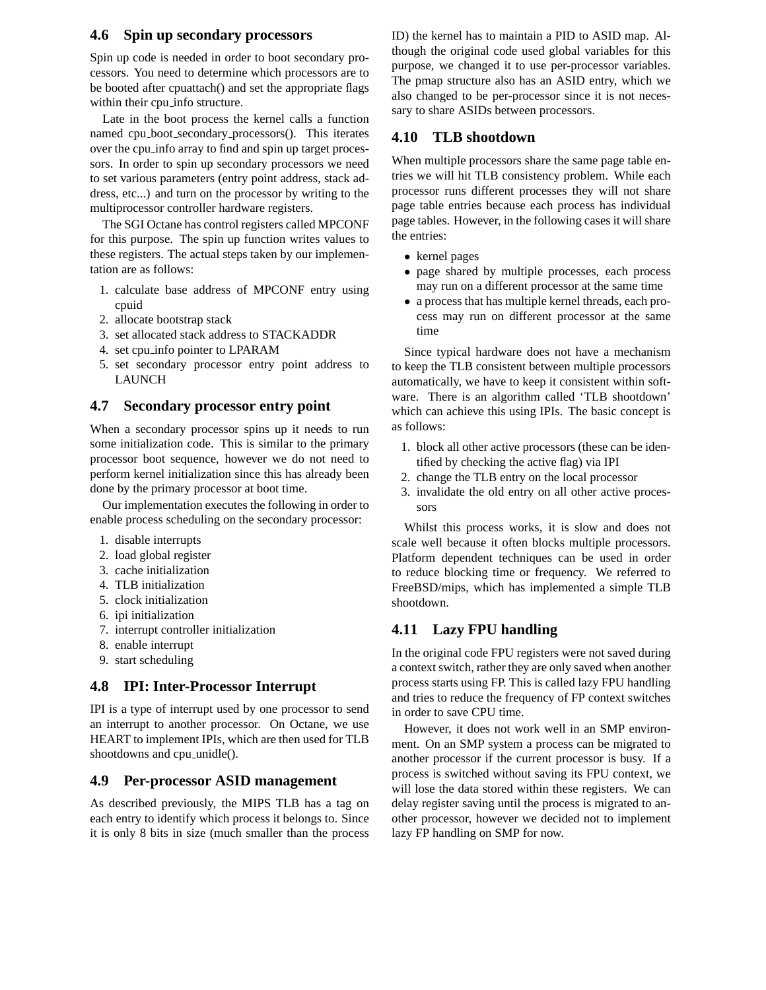### **4.6 Spin up secondary processors**

Spin up code is needed in order to boot secondary processors. You need to determine which processors are to be booted after cpuattach() and set the appropriate flags within their cpu info structure.

Late in the boot process the kernel calls a function named cpu boot secondary processors(). This iterates over the cpu info array to find and spin up target processors. In order to spin up secondary processors we need to set various parameters (entry point address, stack address, etc...) and turn on the processor by writing to the multiprocessor controller hardware registers.

The SGI Octane has control registers called MPCONF for this purpose. The spin up function writes values to these registers. The actual steps taken by our implementation are as follows:

- 1. calculate base address of MPCONF entry using cpuid
- 2. allocate bootstrap stack
- 3. set allocated stack address to STACKADDR
- 4. set cpu info pointer to LPARAM
- 5. set secondary processor entry point address to LAUNCH

### **4.7 Secondary processor entry point**

When a secondary processor spins up it needs to run some initialization code. This is similar to the primary processor boot sequence, however we do not need to perform kernel initialization since this has already been done by the primary processor at boot time.

Our implementation executes the following in order to enable process scheduling on the secondary processor:

- 1. disable interrupts
- 2. load global register
- 3. cache initialization
- 4. TLB initialization
- 5. clock initialization
- 6. ipi initialization
- 7. interrupt controller initialization
- 8. enable interrupt
- 9. start scheduling

# **4.8 IPI: Inter-Processor Interrupt**

IPI is a type of interrupt used by one processor to send an interrupt to another processor. On Octane, we use HEART to implement IPIs, which are then used for TLB shootdowns and cpu<sub>-unidle</sub>().

### **4.9 Per-processor ASID management**

As described previously, the MIPS TLB has a tag on each entry to identify which process it belongs to. Since it is only 8 bits in size (much smaller than the process ID) the kernel has to maintain a PID to ASID map. Although the original code used global variables for this purpose, we changed it to use per-processor variables. The pmap structure also has an ASID entry, which we also changed to be per-processor since it is not necessary to share ASIDs between processors.

### **4.10 TLB shootdown**

When multiple processors share the same page table entries we will hit TLB consistency problem. While each processor runs different processes they will not share page table entries because each process has individual page tables. However, in the following cases it will share the entries:

- kernel pages
- page shared by multiple processes, each process may run on a different processor at the same time
- a process that has multiple kernel threads, each process may run on different processor at the same time

Since typical hardware does not have a mechanism to keep the TLB consistent between multiple processors automatically, we have to keep it consistent within software. There is an algorithm called 'TLB shootdown' which can achieve this using IPIs. The basic concept is as follows:

- 1. block all other active processors (these can be identified by checking the active flag) via IPI
- 2. change the TLB entry on the local processor
- 3. invalidate the old entry on all other active processors

Whilst this process works, it is slow and does not scale well because it often blocks multiple processors. Platform dependent techniques can be used in order to reduce blocking time or frequency. We referred to FreeBSD/mips, which has implemented a simple TLB shootdown.

# **4.11 Lazy FPU handling**

In the original code FPU registers were not saved during a context switch, rather they are only saved when another process starts using FP. This is called lazy FPU handling and tries to reduce the frequency of FP context switches in order to save CPU time.

However, it does not work well in an SMP environment. On an SMP system a process can be migrated to another processor if the current processor is busy. If a process is switched without saving its FPU context, we will lose the data stored within these registers. We can delay register saving until the process is migrated to another processor, however we decided not to implement lazy FP handling on SMP for now.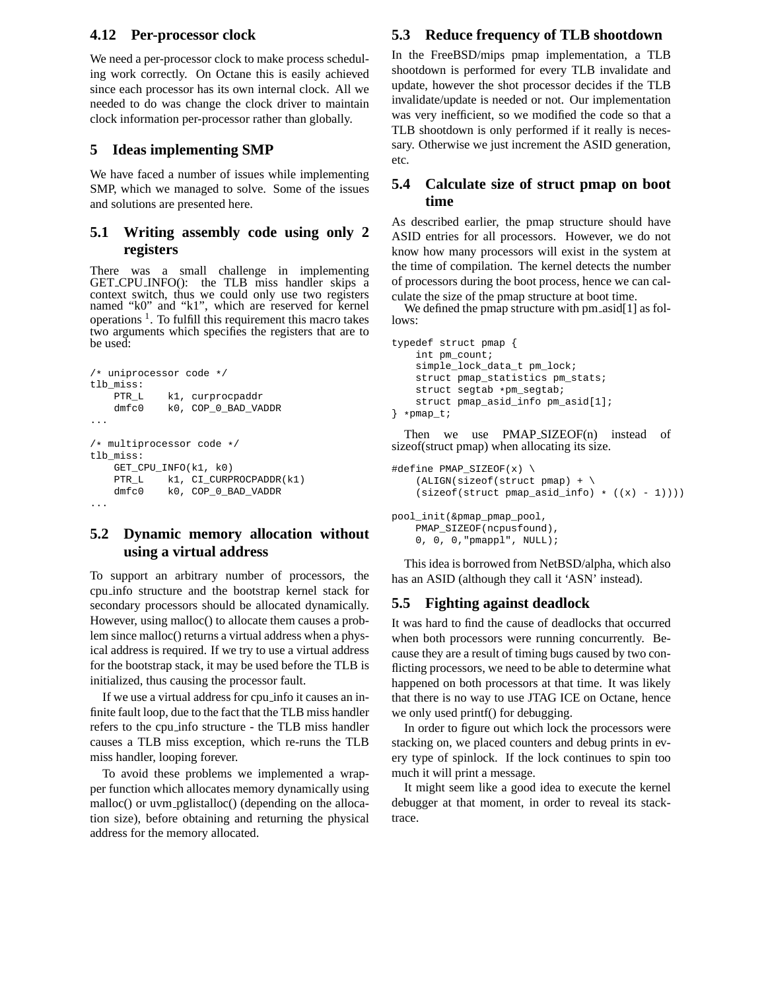### **4.12 Per-processor clock**

We need a per-processor clock to make process scheduling work correctly. On Octane this is easily achieved since each processor has its own internal clock. All we needed to do was change the clock driver to maintain clock information per-processor rather than globally.

### **5 Ideas implementing SMP**

We have faced a number of issues while implementing SMP, which we managed to solve. Some of the issues and solutions are presented here.

### **5.1 Writing assembly code using only 2 registers**

There was a small challenge in implementing GET CPU INFO(): the TLB miss handler skips a context switch, thus we could only use two registers named "k0" and "k1", which are reserved for kernel operations<sup>1</sup>. To fulfill this requirement this macro takes two arguments which specifies the registers that are to be used:

```
/* uniprocessor code */
tlb_miss:
    PTR_L k1, curprocpaddr
    dmfc0 k0, COP_0_BAD_VADDR
...
/* multiprocessor code */
tlb_miss:
    GET_CPU_INFO(k1, k0)
    PTR_L k1, CI_CURPROCPADDR(k1)<br>dmfc0 k0, COP_0_BAD_VADDR
              k0, COP_0_BAD_VADDR
...
```
# **5.2 Dynamic memory allocation without using a virtual address**

To support an arbitrary number of processors, the cpu info structure and the bootstrap kernel stack for secondary processors should be allocated dynamically. However, using malloc() to allocate them causes a problem since malloc() returns a virtual address when a physical address is required. If we try to use a virtual address for the bootstrap stack, it may be used before the TLB is initialized, thus causing the processor fault.

If we use a virtual address for cpu info it causes an infinite fault loop, due to the fact that the TLB miss handler refers to the cpu info structure - the TLB miss handler causes a TLB miss exception, which re-runs the TLB miss handler, looping forever.

To avoid these problems we implemented a wrapper function which allocates memory dynamically using malloc() or uvm\_pglistalloc() (depending on the allocation size), before obtaining and returning the physical address for the memory allocated.

### **5.3 Reduce frequency of TLB shootdown**

In the FreeBSD/mips pmap implementation, a TLB shootdown is performed for every TLB invalidate and update, however the shot processor decides if the TLB invalidate/update is needed or not. Our implementation was very inefficient, so we modified the code so that a TLB shootdown is only performed if it really is necessary. Otherwise we just increment the ASID generation, etc.

# **5.4 Calculate size of struct pmap on boot time**

As described earlier, the pmap structure should have ASID entries for all processors. However, we do not know how many processors will exist in the system at the time of compilation. The kernel detects the number of processors during the boot process, hence we can calculate the size of the pmap structure at boot time.

We defined the pmap structure with pm asid[1] as follows:

```
typedef struct pmap {
    int pm_count;
    simple_lock_data_t pm_lock;
    struct pmap_statistics pm_stats;
    struct segtab *pm segtab;
    struct pmap_asid_info pm_asid[1];
} *pmap_t;
```
Then we use PMAP\_SIZEOF(n) instead of sizeof(struct pmap) when allocating its size.

```
#define PMAP_SIZEOF(x) \
    (ALIGN(sizeof(struct pmap) + \
    (sizeof(struct pmap\_asid_info) * ((x) - 1))))pool_init(&pmap_pmap_pool,
    PMAP_SIZEOF(ncpusfound),
```

```
0, 0, 0,"pmappl", NULL);
```
This idea is borrowed from NetBSD/alpha, which also has an ASID (although they call it 'ASN' instead).

# **5.5 Fighting against deadlock**

It was hard to find the cause of deadlocks that occurred when both processors were running concurrently. Because they are a result of timing bugs caused by two conflicting processors, we need to be able to determine what happened on both processors at that time. It was likely that there is no way to use JTAG ICE on Octane, hence we only used printf() for debugging.

In order to figure out which lock the processors were stacking on, we placed counters and debug prints in every type of spinlock. If the lock continues to spin too much it will print a message.

It might seem like a good idea to execute the kernel debugger at that moment, in order to reveal its stacktrace.